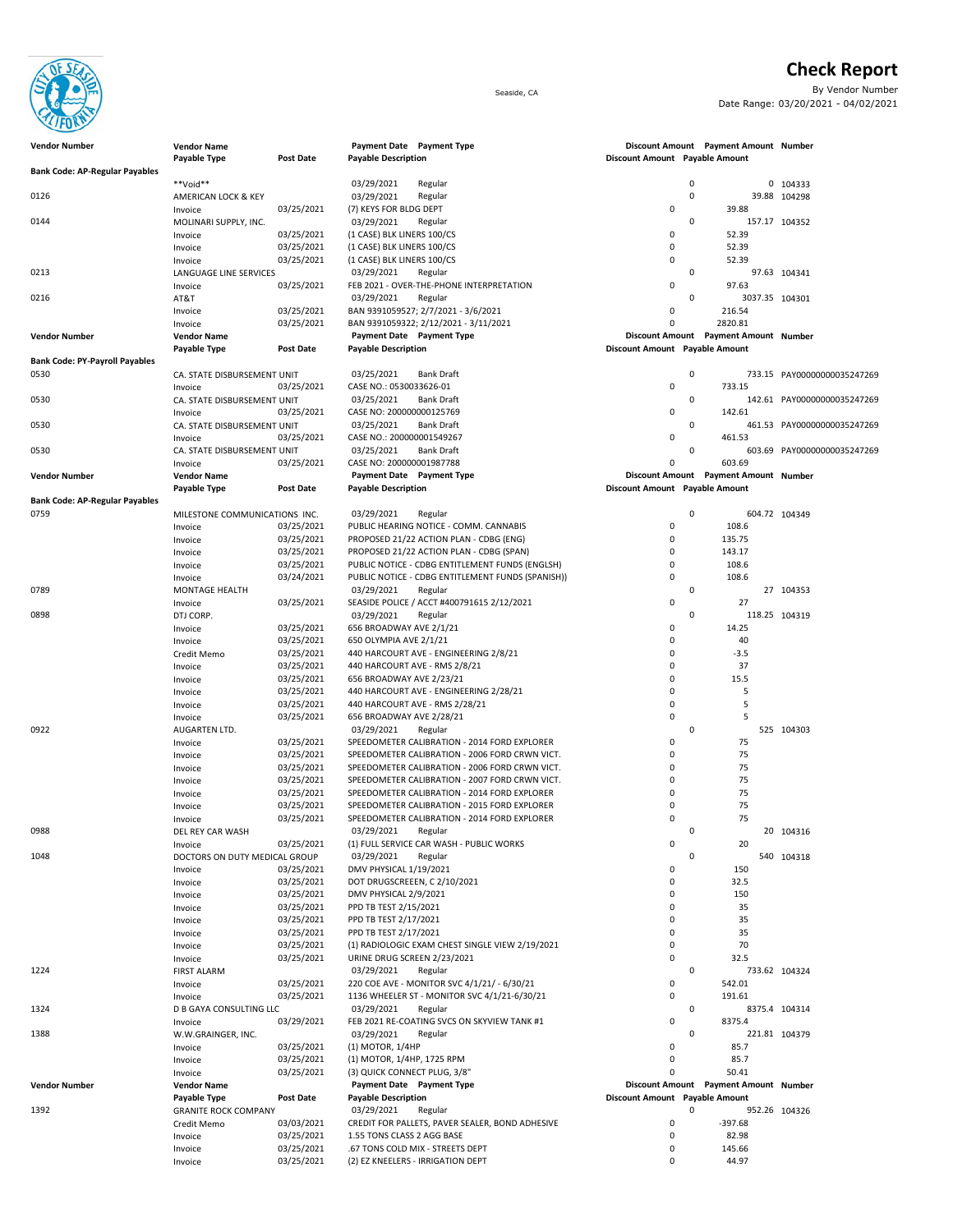

**Check Report**

Seaside, CA By Vendor Number Date Range: 03/20/2021 - 04/02/2021

| <b>Vendor Number</b>                  | <b>Vendor Name</b>             |                          |                                      | Payment Date Payment Type                                                                        |                                |                | Discount Amount Payment Amount Number |                             |
|---------------------------------------|--------------------------------|--------------------------|--------------------------------------|--------------------------------------------------------------------------------------------------|--------------------------------|----------------|---------------------------------------|-----------------------------|
|                                       | Payable Type                   | Post Date                | <b>Payable Description</b>           |                                                                                                  | Discount Amount Payable Amount |                |                                       |                             |
| <b>Bank Code: AP-Regular Payables</b> |                                |                          |                                      |                                                                                                  |                                |                |                                       |                             |
| 0126                                  | **Void**                       |                          | 03/29/2021                           | Regular                                                                                          |                                | $\pmb{0}$<br>0 |                                       | 0 104333                    |
|                                       | AMERICAN LOCK & KEY<br>Invoice | 03/25/2021               | 03/29/2021<br>(7) KEYS FOR BLDG DEPT | Regular                                                                                          | $\mathbf 0$                    |                | 39.88                                 | 39.88 104298                |
| 0144                                  | MOLINARI SUPPLY, INC.          |                          | 03/29/2021                           | Regular                                                                                          |                                | 0              | 157.17 104352                         |                             |
|                                       | Invoice                        | 03/25/2021               | (1 CASE) BLK LINERS 100/CS           |                                                                                                  | $\mathbf 0$                    |                | 52.39                                 |                             |
|                                       | Invoice                        | 03/25/2021               | (1 CASE) BLK LINERS 100/CS           |                                                                                                  | $\mathbf 0$                    |                | 52.39                                 |                             |
|                                       | Invoice                        | 03/25/2021               | (1 CASE) BLK LINERS 100/CS           |                                                                                                  | $\mathbf 0$                    |                | 52.39                                 |                             |
| 0213                                  | LANGUAGE LINE SERVICES         |                          | 03/29/2021                           | Regular                                                                                          |                                | 0              |                                       | 97.63 104341                |
|                                       | Invoice                        | 03/25/2021               |                                      | FEB 2021 - OVER-THE-PHONE INTERPRETATION                                                         | $\mathbf 0$                    |                | 97.63                                 |                             |
| 0216                                  | AT&T                           |                          | 03/29/2021                           | Regular                                                                                          |                                | $\mathbf 0$    | 3037.35 104301                        |                             |
|                                       | Invoice                        | 03/25/2021               |                                      | BAN 9391059527; 2/7/2021 - 3/6/2021                                                              | $\mathbf 0$                    |                | 216.54                                |                             |
|                                       | Invoice                        | 03/25/2021               |                                      | BAN 9391059322; 2/12/2021 - 3/11/2021                                                            | $\mathbf 0$                    |                | 2820.81                               |                             |
| <b>Vendor Number</b>                  | <b>Vendor Name</b>             |                          |                                      | Payment Date Payment Type                                                                        |                                |                | Discount Amount Payment Amount Number |                             |
| <b>Bank Code: PY-Payroll Payables</b> | Payable Type                   | Post Date                | <b>Payable Description</b>           |                                                                                                  | Discount Amount Payable Amount |                |                                       |                             |
| 0530                                  | CA. STATE DISBURSEMENT UNIT    |                          | 03/25/2021                           | <b>Bank Draft</b>                                                                                |                                | $\pmb{0}$      |                                       | 733.15 PAY00000000035247269 |
|                                       | Invoice                        | 03/25/2021               | CASE NO.: 0530033626-01              |                                                                                                  | $\mathbf 0$                    |                | 733.15                                |                             |
| 0530                                  | CA. STATE DISBURSEMENT UNIT    |                          | 03/25/2021                           | <b>Bank Draft</b>                                                                                |                                | $\mathbf 0$    |                                       | 142.61 PAY00000000035247269 |
|                                       | Invoice                        | 03/25/2021               | CASE NO: 200000000125769             |                                                                                                  | 0                              |                | 142.61                                |                             |
| 0530                                  | CA. STATE DISBURSEMENT UNIT    |                          | 03/25/2021                           | <b>Bank Draft</b>                                                                                |                                | 0              |                                       | 461.53 PAY00000000035247269 |
|                                       | Invoice                        | 03/25/2021               | CASE NO.: 200000001549267            |                                                                                                  | $\mathbf 0$                    |                | 461.53                                |                             |
| 0530                                  | CA. STATE DISBURSEMENT UNIT    |                          | 03/25/2021                           | <b>Bank Draft</b>                                                                                |                                | 0              |                                       | 603.69 PAY00000000035247269 |
|                                       | Invoice                        | 03/25/2021               | CASE NO: 200000001987788             |                                                                                                  | $\mathbf 0$                    |                | 603.69                                |                             |
| <b>Vendor Number</b>                  | <b>Vendor Name</b>             |                          |                                      | Payment Date Payment Type                                                                        |                                |                | Discount Amount Payment Amount Number |                             |
|                                       | Payable Type                   | Post Date                | <b>Payable Description</b>           |                                                                                                  | Discount Amount Payable Amount |                |                                       |                             |
| <b>Bank Code: AP-Regular Payables</b> |                                |                          |                                      |                                                                                                  |                                |                |                                       |                             |
| 0759                                  | MILESTONE COMMUNICATIONS INC.  |                          | 03/29/2021                           | Regular                                                                                          |                                | 0              |                                       | 604.72 104349               |
|                                       | Invoice                        | 03/25/2021<br>03/25/2021 |                                      | PUBLIC HEARING NOTICE - COMM. CANNABIS                                                           | $\mathbf 0$                    |                | 108.6                                 |                             |
|                                       | Invoice                        | 03/25/2021               |                                      | PROPOSED 21/22 ACTION PLAN - CDBG (ENG)<br>PROPOSED 21/22 ACTION PLAN - CDBG (SPAN)              | $\mathbf 0$<br>$\mathbf 0$     |                | 135.75<br>143.17                      |                             |
|                                       | Invoice<br>Invoice             | 03/25/2021               |                                      | PUBLIC NOTICE - CDBG ENTITLEMENT FUNDS (ENGLSH)                                                  | $\mathbf 0$                    |                | 108.6                                 |                             |
|                                       | Invoice                        | 03/24/2021               |                                      | PUBLIC NOTICE - CDBG ENTITLEMENT FUNDS (SPANISH))                                                | $\mathbf 0$                    |                | 108.6                                 |                             |
| 0789                                  | <b>MONTAGE HEALTH</b>          |                          | 03/29/2021                           | Regular                                                                                          |                                | 0              |                                       | 27 104353                   |
|                                       | Invoice                        | 03/25/2021               |                                      | SEASIDE POLICE / ACCT #400791615 2/12/2021                                                       | $\mathbf 0$                    |                | 27                                    |                             |
| 0898                                  | DTJ CORP.                      |                          | 03/29/2021                           | Regular                                                                                          |                                | $\mathbf 0$    |                                       | 118.25 104319               |
|                                       | Invoice                        | 03/25/2021               | 656 BROADWAY AVE 2/1/21              |                                                                                                  | 0                              |                | 14.25                                 |                             |
|                                       | Invoice                        | 03/25/2021               | 650 OLYMPIA AVE 2/1/21               |                                                                                                  | $\mathbf 0$                    |                | 40                                    |                             |
|                                       | Credit Memo                    | 03/25/2021               |                                      | 440 HARCOURT AVE - ENGINEERING 2/8/21                                                            | $\mathbf 0$                    |                | $-3.5$                                |                             |
|                                       | Invoice                        | 03/25/2021               |                                      | 440 HARCOURT AVE - RMS 2/8/21                                                                    | $\mathbf 0$                    |                | 37                                    |                             |
|                                       | Invoice                        | 03/25/2021               | 656 BROADWAY AVE 2/23/21             |                                                                                                  | $\mathbf 0$                    |                | 15.5                                  |                             |
|                                       | Invoice                        | 03/25/2021               |                                      | 440 HARCOURT AVE - ENGINEERING 2/28/21                                                           | $\mathbf 0$                    |                | 5                                     |                             |
|                                       | Invoice                        | 03/25/2021               |                                      | 440 HARCOURT AVE - RMS 2/28/21                                                                   | $\mathbf 0$                    |                | 5                                     |                             |
|                                       | Invoice                        | 03/25/2021               | 656 BROADWAY AVE 2/28/21             |                                                                                                  | $\mathbf 0$                    |                | 5                                     |                             |
| 0922                                  | AUGARTEN LTD.                  |                          | 03/29/2021                           | Regular                                                                                          |                                | $\mathbf 0$    |                                       | 525 104303                  |
|                                       | Invoice                        | 03/25/2021               |                                      | SPEEDOMETER CALIBRATION - 2014 FORD EXPLORER                                                     | $\mathbf 0$                    |                | 75                                    |                             |
|                                       | Invoice                        | 03/25/2021               |                                      | SPEEDOMETER CALIBRATION - 2006 FORD CRWN VICT.<br>SPEEDOMETER CALIBRATION - 2006 FORD CRWN VICT. | $\mathbf 0$<br>$\mathbf 0$     |                | 75<br>75                              |                             |
|                                       | Invoice<br>Invoice             | 03/25/2021<br>03/25/2021 |                                      | SPEEDOMETER CALIBRATION - 2007 FORD CRWN VICT.                                                   | $\mathbf 0$                    |                | 75                                    |                             |
|                                       | Invoice                        | 03/25/2021               |                                      | SPEEDOMETER CALIBRATION - 2014 FORD EXPLORER                                                     | $\mathbf 0$                    |                | 75                                    |                             |
|                                       | Invoice                        | 03/25/2021               |                                      | SPEEDOMETER CALIBRATION - 2015 FORD EXPLORER                                                     | $\mathbf 0$                    |                | 75                                    |                             |
|                                       | Invoice                        | 03/25/2021               |                                      | SPEEDOMETER CALIBRATION - 2014 FORD EXPLORER                                                     | $\mathbf 0$                    |                | 75                                    |                             |
| 0988                                  | DEL REY CAR WASH               |                          | 03/29/2021                           | Regular                                                                                          |                                | $\mathbf 0$    |                                       | 20 104316                   |
|                                       | Invoice                        | 03/25/2021               |                                      | (1) FULL SERVICE CAR WASH - PUBLIC WORKS                                                         | $\mathsf 0$                    |                | 20                                    |                             |
| 1048                                  | DOCTORS ON DUTY MEDICAL GROUP  |                          | 03/29/2021                           | Regular                                                                                          |                                | 0              |                                       | 540 104318                  |
|                                       | Invoice                        | 03/25/2021               | DMV PHYSICAL 1/19/2021               |                                                                                                  | $\mathbf 0$                    |                | 150                                   |                             |
|                                       | Invoice                        | 03/25/2021               |                                      | DOT DRUGSCREEEN, C 2/10/2021                                                                     | $\mathbf 0$                    |                | 32.5                                  |                             |
|                                       | Invoice                        | 03/25/2021               | DMV PHYSICAL 2/9/2021                |                                                                                                  | $\mathbf 0$                    |                | 150                                   |                             |
|                                       | Invoice                        | 03/25/2021               | PPD TB TEST 2/15/2021                |                                                                                                  | $\mathbf 0$                    |                | 35                                    |                             |
|                                       | Invoice                        | 03/25/2021               | PPD TB TEST 2/17/2021                |                                                                                                  | $\mathbf 0$                    |                | 35                                    |                             |
|                                       | Invoice                        | 03/25/2021               | PPD TB TEST 2/17/2021                |                                                                                                  | $\mathbf 0$                    |                | 35                                    |                             |
|                                       | Invoice                        | 03/25/2021<br>03/25/2021 | URINE DRUG SCREEN 2/23/2021          | (1) RADIOLOGIC EXAM CHEST SINGLE VIEW 2/19/2021                                                  | $\mathbf 0$<br>$\mathbf 0$     |                | 70<br>32.5                            |                             |
| 1224                                  | Invoice<br><b>FIRST ALARM</b>  |                          | 03/29/2021                           | Regular                                                                                          |                                | $\mathbf 0$    |                                       | 733.62 104324               |
|                                       | Invoice                        | 03/25/2021               |                                      | 220 COE AVE - MONITOR SVC 4/1/21/ - 6/30/21                                                      | $\mathbf 0$                    |                | 542.01                                |                             |
|                                       | Invoice                        | 03/25/2021               |                                      | 1136 WHEELER ST - MONITOR SVC 4/1/21-6/30/21                                                     | $\mathbf 0$                    |                | 191.61                                |                             |
| 1324                                  | D B GAYA CONSULTING LLC        |                          | 03/29/2021                           | Regular                                                                                          |                                | $\mathbf 0$    |                                       | 8375.4 104314               |
|                                       | Invoice                        | 03/29/2021               |                                      | FEB 2021 RE-COATING SVCS ON SKYVIEW TANK #1                                                      | $\mathbf 0$                    |                | 8375.4                                |                             |
| 1388                                  | W.W.GRAINGER, INC.             |                          | 03/29/2021                           | Regular                                                                                          |                                | $\mathbf 0$    |                                       | 221.81 104379               |
|                                       | Invoice                        | 03/25/2021               | (1) MOTOR, 1/4HP                     |                                                                                                  | $\mathbf 0$                    |                | 85.7                                  |                             |
|                                       | Invoice                        | 03/25/2021               | (1) MOTOR, 1/4HP, 1725 RPM           |                                                                                                  | $\mathbf 0$                    |                | 85.7                                  |                             |
|                                       | Invoice                        | 03/25/2021               | (3) QUICK CONNECT PLUG, 3/8"         |                                                                                                  | $\mathsf 0$                    |                | 50.41                                 |                             |
| <b>Vendor Number</b>                  | <b>Vendor Name</b>             |                          |                                      | Payment Date Payment Type                                                                        |                                |                | Discount Amount Payment Amount Number |                             |
|                                       | Payable Type                   | Post Date                | <b>Payable Description</b>           |                                                                                                  | Discount Amount Payable Amount |                |                                       |                             |
| 1392                                  | <b>GRANITE ROCK COMPANY</b>    |                          | 03/29/2021                           | Regular                                                                                          |                                | 0              |                                       | 952.26 104326               |
|                                       | Credit Memo                    | 03/03/2021               |                                      | CREDIT FOR PALLETS, PAVER SEALER, BOND ADHESIVE                                                  | $\mathbf 0$<br>$\mathbf 0$     |                | $-397.68$                             |                             |
|                                       | Invoice                        | 03/25/2021               | 1.55 TONS CLASS 2 AGG BASE           |                                                                                                  | $\mathbf 0$                    |                | 82.98<br>145.66                       |                             |
|                                       | Invoice<br>Invoice             | 03/25/2021<br>03/25/2021 |                                      | .67 TONS COLD MIX - STREETS DEPT<br>(2) EZ KNEELERS - IRRIGATION DEPT                            | 0                              |                | 44.97                                 |                             |
|                                       |                                |                          |                                      |                                                                                                  |                                |                |                                       |                             |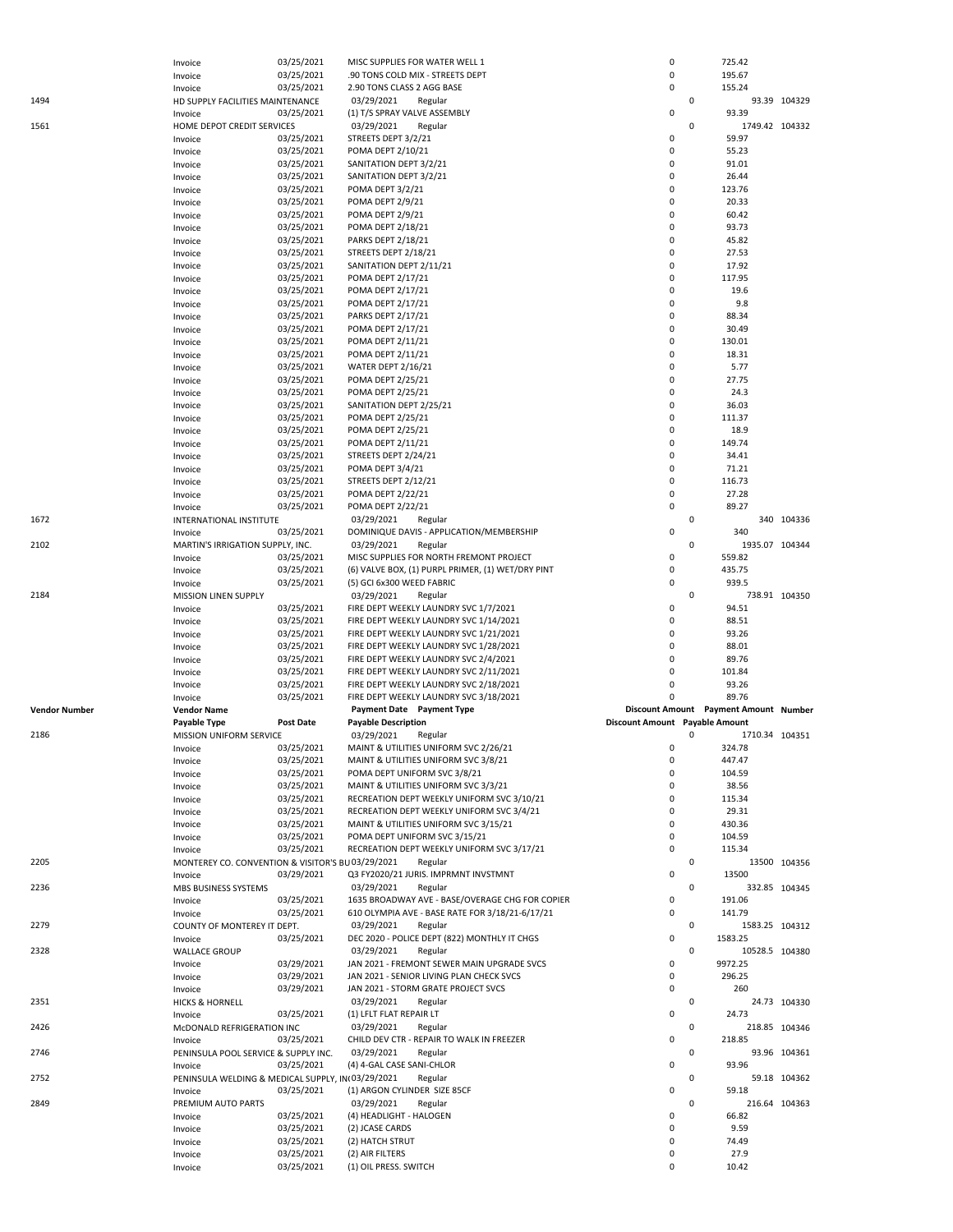|                      | Invoice                                           | 03/25/2021               | MISC SUPPLIES FOR WATER WELL 1                                                         | 0                                     |             | 725.42                    |               |
|----------------------|---------------------------------------------------|--------------------------|----------------------------------------------------------------------------------------|---------------------------------------|-------------|---------------------------|---------------|
|                      | Invoice                                           | 03/25/2021               | .90 TONS COLD MIX - STREETS DEPT                                                       | 0                                     |             | 195.67                    |               |
|                      | Invoice                                           | 03/25/2021               | 2.90 TONS CLASS 2 AGG BASE                                                             | 0                                     |             | 155.24                    |               |
| 1494                 | HD SUPPLY FACILITIES MAINTENANCE                  |                          | 03/29/2021<br>Regular                                                                  |                                       | $\mathsf 0$ |                           | 93.39 104329  |
|                      | Invoice                                           | 03/25/2021               | (1) T/S SPRAY VALVE ASSEMBLY                                                           | 0                                     |             | 93.39                     |               |
| 1561                 | HOME DEPOT CREDIT SERVICES                        |                          | 03/29/2021<br>Regular                                                                  |                                       | $\mathbf 0$ | 1749.42 104332            |               |
|                      | Invoice                                           | 03/25/2021               | STREETS DEPT 3/2/21                                                                    | 0                                     |             | 59.97                     |               |
|                      | Invoice                                           | 03/25/2021               | POMA DEPT 2/10/21                                                                      | 0                                     |             | 55.23                     |               |
|                      | Invoice                                           | 03/25/2021               | SANITATION DEPT 3/2/21                                                                 | 0                                     |             | 91.01                     |               |
|                      | Invoice                                           | 03/25/2021               | SANITATION DEPT 3/2/21                                                                 | 0                                     |             | 26.44                     |               |
|                      | Invoice                                           | 03/25/2021               | <b>POMA DEPT 3/2/21</b>                                                                | 0                                     |             | 123.76                    |               |
|                      | Invoice                                           | 03/25/2021               | <b>POMA DEPT 2/9/21</b>                                                                | 0                                     |             | 20.33                     |               |
|                      | Invoice                                           | 03/25/2021               | <b>POMA DEPT 2/9/21</b>                                                                | 0                                     |             | 60.42                     |               |
|                      | Invoice                                           | 03/25/2021               | POMA DEPT 2/18/21                                                                      | 0                                     |             | 93.73                     |               |
|                      | Invoice                                           | 03/25/2021               | <b>PARKS DEPT 2/18/21</b>                                                              | 0                                     |             | 45.82                     |               |
|                      | Invoice                                           | 03/25/2021               | STREETS DEPT 2/18/21                                                                   | 0                                     |             | 27.53                     |               |
|                      |                                                   | 03/25/2021               | SANITATION DEPT 2/11/21                                                                | 0                                     |             | 17.92                     |               |
|                      | Invoice                                           |                          |                                                                                        | 0                                     |             | 117.95                    |               |
|                      | Invoice                                           | 03/25/2021               | POMA DEPT 2/17/21                                                                      |                                       |             |                           |               |
|                      | Invoice                                           | 03/25/2021               | POMA DEPT 2/17/21                                                                      | 0                                     |             | 19.6                      |               |
|                      | Invoice                                           | 03/25/2021               | POMA DEPT 2/17/21                                                                      | 0                                     |             | 9.8                       |               |
|                      | Invoice                                           | 03/25/2021               | <b>PARKS DEPT 2/17/21</b>                                                              | 0                                     |             | 88.34                     |               |
|                      | Invoice                                           | 03/25/2021               | POMA DEPT 2/17/21                                                                      | 0                                     |             | 30.49                     |               |
|                      | Invoice                                           | 03/25/2021               | POMA DEPT 2/11/21                                                                      | $\mathbf 0$                           |             | 130.01                    |               |
|                      | Invoice                                           | 03/25/2021               | POMA DEPT 2/11/21                                                                      | 0                                     |             | 18.31                     |               |
|                      | Invoice                                           | 03/25/2021               | WATER DEPT 2/16/21                                                                     | 0                                     |             | 5.77                      |               |
|                      | Invoice                                           | 03/25/2021               | POMA DEPT 2/25/21                                                                      | 0                                     |             | 27.75                     |               |
|                      | Invoice                                           | 03/25/2021               | POMA DEPT 2/25/21                                                                      | 0                                     |             | 24.3                      |               |
|                      | Invoice                                           | 03/25/2021               | SANITATION DEPT 2/25/21                                                                | 0                                     |             | 36.03                     |               |
|                      | Invoice                                           | 03/25/2021               | POMA DEPT 2/25/21                                                                      | 0                                     |             | 111.37                    |               |
|                      | Invoice                                           | 03/25/2021               | POMA DEPT 2/25/21                                                                      | $\mathbf 0$                           |             | 18.9                      |               |
|                      | Invoice                                           | 03/25/2021               | POMA DEPT 2/11/21                                                                      | 0                                     |             | 149.74                    |               |
|                      | Invoice                                           | 03/25/2021               | STREETS DEPT 2/24/21                                                                   | 0                                     |             | 34.41                     |               |
|                      | Invoice                                           | 03/25/2021               | <b>POMA DEPT 3/4/21</b>                                                                | 0                                     |             | 71.21                     |               |
|                      | Invoice                                           | 03/25/2021               | STREETS DEPT 2/12/21                                                                   | 0                                     |             | 116.73                    |               |
|                      |                                                   | 03/25/2021               | POMA DEPT 2/22/21                                                                      | 0                                     |             | 27.28                     |               |
|                      | Invoice                                           |                          |                                                                                        | 0                                     |             | 89.27                     |               |
|                      | Invoice                                           | 03/25/2021               | POMA DEPT 2/22/21                                                                      |                                       |             |                           |               |
| 1672                 | INTERNATIONAL INSTITUTE                           |                          | 03/29/2021<br>Regular                                                                  |                                       | $\mathbf 0$ |                           | 340 104336    |
|                      | Invoice                                           | 03/25/2021               | DOMINIQUE DAVIS - APPLICATION/MEMBERSHIP                                               | 0                                     |             | 340                       |               |
| 2102                 | MARTIN'S IRRIGATION SUPPLY, INC.                  |                          | 03/29/2021<br>Regular                                                                  |                                       | $\mathbf 0$ | 1935.07 104344            |               |
|                      | Invoice                                           | 03/25/2021               | MISC SUPPLIES FOR NORTH FREMONT PROJECT                                                | 0                                     |             | 559.82                    |               |
|                      | Invoice                                           | 03/25/2021               | (6) VALVE BOX, (1) PURPL PRIMER, (1) WET/DRY PINT                                      | 0                                     |             | 435.75                    |               |
|                      | Invoice                                           | 03/25/2021               | (5) GCI 6x300 WEED FABRIC                                                              | 0                                     |             | 939.5                     |               |
| 2184                 | MISSION LINEN SUPPLY                              |                          | 03/29/2021<br>Regular                                                                  |                                       | $\mathbf 0$ |                           | 738.91 104350 |
|                      |                                                   | 03/25/2021               |                                                                                        |                                       |             | 94.51                     |               |
|                      | Invoice                                           |                          | FIRE DEPT WEEKLY LAUNDRY SVC 1/7/2021                                                  | 0                                     |             |                           |               |
|                      | Invoice                                           | 03/25/2021               | FIRE DEPT WEEKLY LAUNDRY SVC 1/14/2021                                                 | 0                                     |             | 88.51                     |               |
|                      | Invoice                                           | 03/25/2021               | FIRE DEPT WEEKLY LAUNDRY SVC 1/21/2021                                                 | 0                                     |             | 93.26                     |               |
|                      | Invoice                                           | 03/25/2021               | FIRE DEPT WEEKLY LAUNDRY SVC 1/28/2021                                                 | 0                                     |             | 88.01                     |               |
|                      |                                                   |                          | FIRE DEPT WEEKLY LAUNDRY SVC 2/4/2021                                                  | 0                                     |             | 89.76                     |               |
|                      | Invoice                                           | 03/25/2021               |                                                                                        |                                       |             |                           |               |
|                      | Invoice                                           | 03/25/2021               | FIRE DEPT WEEKLY LAUNDRY SVC 2/11/2021                                                 | 0                                     |             | 101.84                    |               |
|                      | Invoice                                           | 03/25/2021               | FIRE DEPT WEEKLY LAUNDRY SVC 2/18/2021                                                 | 0                                     |             | 93.26                     |               |
|                      | Invoice                                           | 03/25/2021               | FIRE DEPT WEEKLY LAUNDRY SVC 3/18/2021                                                 | 0                                     |             | 89.76                     |               |
| <b>Vendor Number</b> | <b>Vendor Name</b>                                |                          | Payment Date Payment Type                                                              | Discount Amount Payment Amount Number |             |                           |               |
|                      | Payable Type                                      | <b>Post Date</b>         | <b>Payable Description</b>                                                             | Discount Amount Payable Amount        |             |                           |               |
| 2186                 | MISSION UNIFORM SERVICE                           |                          | 03/29/2021<br>Regular                                                                  |                                       | 0           | 1710.34 104351            |               |
|                      | Invoice                                           | 03/25/2021               | MAINT & UTILITIES UNIFORM SVC 2/26/21                                                  | 0                                     |             | 324.78                    |               |
|                      | Invoice                                           | 03/25/2021               | MAINT & UTILITIES UNIFORM SVC 3/8/21                                                   | 0                                     |             | 447.47                    |               |
|                      | Invoice                                           | 03/25/2021               | POMA DEPT UNIFORM SVC 3/8/21                                                           | 0                                     |             | 104.59                    |               |
|                      | Invoice                                           | 03/25/2021               | MAINT & UTILITIES UNIFORM SVC 3/3/21                                                   | 0                                     |             | 38.56                     |               |
|                      | Invoice                                           | 03/25/2021               | RECREATION DEPT WEEKLY UNIFORM SVC 3/10/21                                             | 0                                     |             | 115.34                    |               |
|                      | Invoice                                           | 03/25/2021               | RECREATION DEPT WEEKLY UNIFORM SVC 3/4/21                                              | 0                                     |             | 29.31                     |               |
|                      | Invoice                                           | 03/25/2021               | MAINT & UTILITIES UNIFORM SVC 3/15/21                                                  | 0                                     |             | 430.36                    |               |
|                      | Invoice                                           | 03/25/2021               | POMA DEPT UNIFORM SVC 3/15/21                                                          | 0                                     |             | 104.59                    |               |
|                      | Invoice                                           | 03/25/2021               | RECREATION DEPT WEEKLY UNIFORM SVC 3/17/21                                             | 0                                     |             | 115.34                    |               |
| 2205                 | MONTEREY CO. CONVENTION & VISITOR'S BU03/29/2021  |                          | Regular                                                                                |                                       | $\mathbf 0$ |                           | 13500 104356  |
|                      | Invoice                                           | 03/29/2021               | Q3 FY2020/21 JURIS. IMPRMNT INVSTMNT                                                   | 0                                     |             | 13500                     |               |
| 2236                 | MBS BUSINESS SYSTEMS                              |                          | 03/29/2021<br>Regular                                                                  |                                       | $\mathsf 0$ |                           | 332.85 104345 |
|                      | Invoice                                           | 03/25/2021               | 1635 BROADWAY AVE - BASE/OVERAGE CHG FOR COPIER                                        | 0                                     |             | 191.06                    |               |
|                      | Invoice                                           | 03/25/2021               | 610 OLYMPIA AVE - BASE RATE FOR 3/18/21-6/17/21                                        | 0                                     |             | 141.79                    |               |
| 2279                 | COUNTY OF MONTEREY IT DEPT.                       |                          | 03/29/2021<br>Regular                                                                  |                                       | $\mathbf 0$ | 1583.25 104312            |               |
|                      | Invoice                                           | 03/25/2021               | DEC 2020 - POLICE DEPT (822) MONTHLY IT CHGS                                           | 0                                     |             | 1583.25                   |               |
|                      |                                                   |                          |                                                                                        |                                       | $\mathbf 0$ |                           |               |
| 2328                 | <b>WALLACE GROUP</b>                              |                          | 03/29/2021<br>Regular                                                                  | 0                                     |             | 10528.5 104380<br>9972.25 |               |
|                      | Invoice                                           | 03/29/2021<br>03/29/2021 | JAN 2021 - FREMONT SEWER MAIN UPGRADE SVCS<br>JAN 2021 - SENIOR LIVING PLAN CHECK SVCS | 0                                     |             | 296.25                    |               |
|                      | Invoice                                           |                          |                                                                                        | 0                                     |             | 260                       |               |
|                      | Invoice                                           | 03/29/2021               | JAN 2021 - STORM GRATE PROJECT SVCS                                                    |                                       | $\mathbf 0$ |                           |               |
| 2351                 | <b>HICKS &amp; HORNELL</b>                        |                          | 03/29/2021<br>Regular                                                                  | 0                                     |             |                           | 24.73 104330  |
|                      | Invoice                                           | 03/25/2021               | (1) LFLT FLAT REPAIR LT                                                                |                                       |             | 24.73                     |               |
| 2426                 | McDONALD REFRIGERATION INC                        |                          | 03/29/2021<br>Regular                                                                  |                                       | $\mathsf 0$ |                           | 218.85 104346 |
|                      | Invoice                                           | 03/25/2021               | CHILD DEV CTR - REPAIR TO WALK IN FREEZER                                              | 0                                     |             | 218.85                    |               |
| 2746                 | PENINSULA POOL SERVICE & SUPPLY INC.              |                          | 03/29/2021<br>Regular                                                                  |                                       | $\mathsf 0$ |                           | 93.96 104361  |
|                      | Invoice                                           | 03/25/2021               | (4) 4-GAL CASE SANI-CHLOR                                                              | 0                                     |             | 93.96                     |               |
| 2752                 | PENINSULA WELDING & MEDICAL SUPPLY, IN(03/29/2021 |                          | Regular                                                                                |                                       | $\mathbf 0$ |                           | 59.18 104362  |
|                      | Invoice                                           | 03/25/2021               | (1) ARGON CYLINDER SIZE 85CF                                                           | 0                                     |             | 59.18                     |               |
| 2849                 | PREMIUM AUTO PARTS                                |                          | 03/29/2021<br>Regular                                                                  |                                       | $\mathbf 0$ |                           | 216.64 104363 |
|                      | Invoice                                           | 03/25/2021               | (4) HEADLIGHT - HALOGEN                                                                | 0                                     |             | 66.82                     |               |
|                      | Invoice                                           | 03/25/2021               | (2) JCASE CARDS                                                                        | 0                                     |             | 9.59                      |               |
|                      | Invoice                                           | 03/25/2021               | (2) HATCH STRUT                                                                        | 0                                     |             | 74.49                     |               |
|                      | Invoice                                           | 03/25/2021<br>03/25/2021 | (2) AIR FILTERS<br>(1) OIL PRESS. SWITCH                                               | 0<br>0                                |             | 27.9<br>10.42             |               |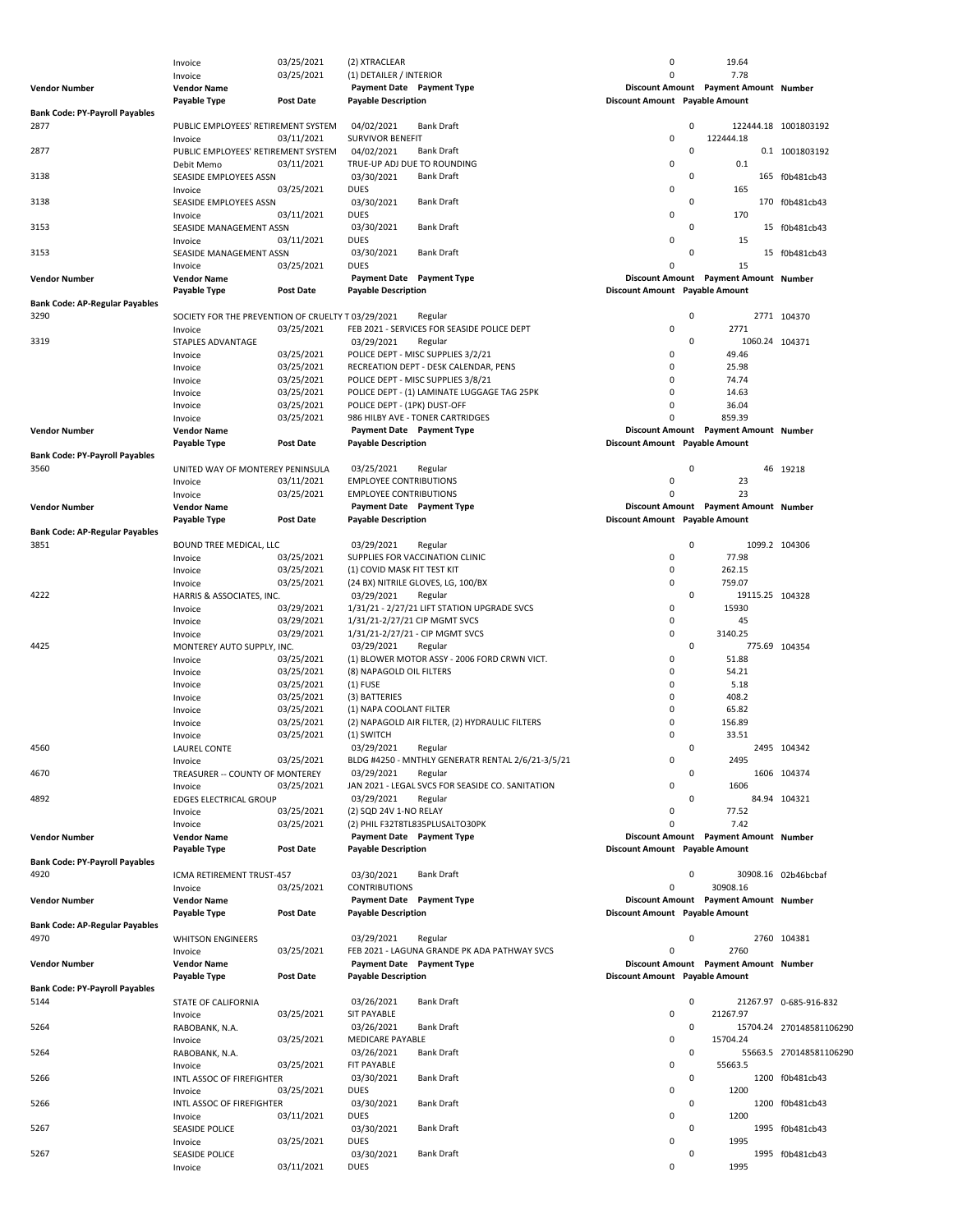|                                       | Invoice                                            | 03/25/2021       | (1) DETAILER / INTERIOR                     |                                                   | 0                              |             | 7.78                                  |                          |
|---------------------------------------|----------------------------------------------------|------------------|---------------------------------------------|---------------------------------------------------|--------------------------------|-------------|---------------------------------------|--------------------------|
| Vendor Number                         | <b>Vendor Name</b>                                 |                  | Payment Date Payment Type                   |                                                   |                                |             | Discount Amount Payment Amount Number |                          |
|                                       | Payable Type                                       | <b>Post Date</b> | <b>Payable Description</b>                  |                                                   | Discount Amount Payable Amount |             |                                       |                          |
| <b>Bank Code: PY-Payroll Payables</b> |                                                    |                  |                                             |                                                   |                                |             |                                       |                          |
| 2877                                  | PUBLIC EMPLOYEES' RETIREMENT SYSTEM                |                  | 04/02/2021                                  | <b>Bank Draft</b>                                 |                                | 0           |                                       | 122444.18 1001803192     |
|                                       | Invoice                                            | 03/11/2021       | <b>SURVIVOR BENEFIT</b>                     |                                                   | 0                              |             | 122444.18                             |                          |
| 2877                                  | PUBLIC EMPLOYEES' RETIREMENT SYSTEM                |                  | 04/02/2021                                  | <b>Bank Draft</b>                                 |                                | 0           |                                       | 0.1 1001803192           |
|                                       | Debit Memo                                         | 03/11/2021       | TRUE-UP ADJ DUE TO ROUNDING                 |                                                   | 0                              |             | 0.1                                   |                          |
| 3138                                  | SEASIDE EMPLOYEES ASSN                             |                  | 03/30/2021                                  | <b>Bank Draft</b>                                 |                                | 0           |                                       | 165 f0b481cb43           |
|                                       | Invoice                                            | 03/25/2021       | <b>DUES</b>                                 |                                                   | 0                              |             | 165                                   |                          |
| 3138                                  | SEASIDE EMPLOYEES ASSN                             |                  | 03/30/2021                                  | <b>Bank Draft</b>                                 |                                | 0           |                                       | 170 f0b481cb43           |
|                                       | Invoice                                            | 03/11/2021       | <b>DUES</b>                                 |                                                   | 0                              |             | 170                                   |                          |
| 3153                                  | SEASIDE MANAGEMENT ASSN                            |                  | 03/30/2021                                  | <b>Bank Draft</b>                                 |                                | 0           |                                       | 15 f0b481cb43            |
|                                       | Invoice                                            | 03/11/2021       | <b>DUES</b>                                 |                                                   | 0                              |             | 15                                    |                          |
| 3153                                  | SEASIDE MANAGEMENT ASSN                            |                  | 03/30/2021                                  | <b>Bank Draft</b>                                 |                                | $\Omega$    |                                       | 15 f0b481cb43            |
|                                       | Invoice                                            | 03/25/2021       | <b>DUES</b>                                 |                                                   | 0                              |             | 15                                    |                          |
| Vendor Number                         | <b>Vendor Name</b>                                 |                  | Payment Date Payment Type                   |                                                   |                                |             | Discount Amount Payment Amount Number |                          |
|                                       | Payable Type                                       | <b>Post Date</b> | <b>Payable Description</b>                  |                                                   | Discount Amount Payable Amount |             |                                       |                          |
| Bank Code: AP-Regular Payables        |                                                    |                  |                                             |                                                   |                                |             |                                       |                          |
| 3290                                  | SOCIETY FOR THE PREVENTION OF CRUELTY T 03/29/2021 |                  |                                             | Regular                                           |                                | 0           |                                       | 2771 104370              |
|                                       | Invoice                                            | 03/25/2021       |                                             | FEB 2021 - SERVICES FOR SEASIDE POLICE DEPT       | 0                              |             | 2771                                  |                          |
| 3319                                  | STAPLES ADVANTAGE                                  |                  | 03/29/2021                                  | Regular                                           |                                | 0           | 1060.24 104371                        |                          |
|                                       | Invoice                                            | 03/25/2021       |                                             | POLICE DEPT - MISC SUPPLIES 3/2/21                | 0                              |             | 49.46                                 |                          |
|                                       | Invoice                                            | 03/25/2021       |                                             | RECREATION DEPT - DESK CALENDAR, PENS             | 0                              |             | 25.98                                 |                          |
|                                       | Invoice                                            | 03/25/2021       |                                             | POLICE DEPT - MISC SUPPLIES 3/8/21                | $\Omega$                       |             | 74.74                                 |                          |
|                                       | Invoice                                            | 03/25/2021       |                                             | POLICE DEPT - (1) LAMINATE LUGGAGE TAG 25PK       | 0                              |             | 14.63                                 |                          |
|                                       | Invoice                                            | 03/25/2021       | POLICE DEPT - (1PK) DUST-OFF                |                                                   | 0                              |             | 36.04                                 |                          |
|                                       |                                                    | 03/25/2021       |                                             | 986 HILBY AVE - TONER CARTRIDGES                  | $\Omega$                       |             | 859.39                                |                          |
| Vendor Number                         | Invoice                                            |                  | Payment Date Payment Type                   |                                                   |                                |             | Discount Amount Payment Amount Number |                          |
|                                       | <b>Vendor Name</b><br>Payable Type                 | <b>Post Date</b> | <b>Payable Description</b>                  |                                                   | Discount Amount Payable Amount |             |                                       |                          |
| <b>Bank Code: PY-Payroll Payables</b> |                                                    |                  |                                             |                                                   |                                |             |                                       |                          |
|                                       |                                                    |                  |                                             |                                                   |                                |             |                                       |                          |
| 3560                                  | UNITED WAY OF MONTEREY PENINSULA                   |                  | 03/25/2021<br><b>EMPLOYEE CONTRIBUTIONS</b> | Regular                                           | 0                              | $\mathbf 0$ | 23                                    | 46 19218                 |
|                                       | Invoice                                            | 03/11/2021       |                                             |                                                   |                                |             |                                       |                          |
|                                       | Invoice                                            | 03/25/2021       | <b>EMPLOYEE CONTRIBUTIONS</b>               |                                                   | $\Omega$                       |             | 23                                    |                          |
| Vendor Number                         | <b>Vendor Name</b>                                 |                  | Payment Date Payment Type                   |                                                   |                                |             | Discount Amount Payment Amount Number |                          |
|                                       | Payable Type                                       | <b>Post Date</b> | <b>Payable Description</b>                  |                                                   | Discount Amount Payable Amount |             |                                       |                          |
| Bank Code: AP-Regular Payables        |                                                    |                  |                                             |                                                   |                                |             |                                       |                          |
| 3851                                  | BOUND TREE MEDICAL, LLC                            |                  | 03/29/2021                                  | Regular                                           |                                | $\mathbf 0$ | 1099.2 104306                         |                          |
|                                       | Invoice                                            | 03/25/2021       |                                             | SUPPLIES FOR VACCINATION CLINIC                   | 0                              |             | 77.98                                 |                          |
|                                       | Invoice                                            | 03/25/2021       | (1) COVID MASK FIT TEST KIT                 |                                                   | 0                              |             | 262.15                                |                          |
|                                       | Invoice                                            | 03/25/2021       |                                             | (24 BX) NITRILE GLOVES, LG, 100/BX                | 0                              |             | 759.07                                |                          |
| 4222                                  | HARRIS & ASSOCIATES, INC.                          |                  | 03/29/2021                                  | Regular                                           |                                | $\mathsf 0$ | 19115.25 104328                       |                          |
|                                       | Invoice                                            | 03/29/2021       |                                             | 1/31/21 - 2/27/21 LIFT STATION UPGRADE SVCS       | 0                              |             | 15930                                 |                          |
|                                       | Invoice                                            | 03/29/2021       | 1/31/21-2/27/21 CIP MGMT SVCS               |                                                   | 0                              |             | 45                                    |                          |
|                                       | Invoice                                            | 03/29/2021       |                                             | 1/31/21-2/27/21 - CIP MGMT SVCS                   | 0                              |             | 3140.25                               |                          |
| 4425                                  | MONTEREY AUTO SUPPLY, INC.                         |                  | 03/29/2021                                  | Regular                                           |                                | $\mathsf 0$ | 775.69 104354                         |                          |
|                                       | Invoice                                            | 03/25/2021       |                                             | (1) BLOWER MOTOR ASSY - 2006 FORD CRWN VICT.      | 0                              |             | 51.88                                 |                          |
|                                       | Invoice                                            | 03/25/2021       | (8) NAPAGOLD OIL FILTERS                    |                                                   | 0                              |             | 54.21                                 |                          |
|                                       | Invoice                                            | 03/25/2021       | $(1)$ FUSE                                  |                                                   | $\Omega$                       |             | 5.18                                  |                          |
|                                       | Invoice                                            | 03/25/2021       | (3) BATTERIES                               |                                                   | $\Omega$                       |             | 408.2                                 |                          |
|                                       | Invoice                                            | 03/25/2021       | (1) NAPA COOLANT FILTER                     |                                                   | $\Omega$                       |             | 65.82                                 |                          |
|                                       | Invoice                                            | 03/25/2021       |                                             | (2) NAPAGOLD AIR FILTER, (2) HYDRAULIC FILTERS    | $\Omega$                       |             | 156.89                                |                          |
|                                       | Invoice                                            | 03/25/2021       | (1) SWITCH                                  |                                                   | $\Omega$                       |             | 33.51                                 |                          |
| 4560                                  | LAUREL CONTE                                       |                  | 03/29/2021                                  | Regular                                           |                                | 0           |                                       | 2495 104342              |
|                                       | Invoice                                            | 03/25/2021       |                                             | BLDG #4250 - MNTHLY GENERATR RENTAL 2/6/21-3/5/21 | 0                              |             | 2495                                  |                          |
| 4670                                  | TREASURER -- COUNTY OF MONTEREY                    |                  | 03/29/2021                                  | Regular                                           |                                | 0           |                                       | 1606 104374              |
|                                       | Invoice                                            | 03/25/2021       |                                             | JAN 2021 - LEGAL SVCS FOR SEASIDE CO. SANITATION  | 0                              |             | 1606                                  |                          |
| 4892                                  | EDGES ELECTRICAL GROUP                             |                  | 03/29/2021                                  | Regular                                           |                                | 0           |                                       | 84.94 104321             |
|                                       | Invoice                                            | 03/25/2021       | (2) SQD 24V 1-NO RELAY                      |                                                   | 0                              |             | 77.52                                 |                          |
|                                       | Invoice                                            | 03/25/2021       |                                             | (2) PHIL F32T8TL835PLUSALTO30PK                   | 0                              |             | 7.42                                  |                          |
| Vendor Number                         | <b>Vendor Name</b>                                 |                  | Payment Date Payment Type                   |                                                   |                                |             | Discount Amount Payment Amount Number |                          |
|                                       | Payable Type                                       | Post Date        | <b>Payable Description</b>                  |                                                   | Discount Amount Payable Amount |             |                                       |                          |
| <b>Bank Code: PY-Payroll Payables</b> |                                                    |                  |                                             |                                                   |                                |             |                                       |                          |
| 4920                                  | ICMA RETIREMENT TRUST-457                          |                  | 03/30/2021                                  | <b>Bank Draft</b>                                 |                                | 0           |                                       | 30908.16 02b46bcbaf      |
|                                       | Invoice                                            | 03/25/2021       | <b>CONTRIBUTIONS</b>                        |                                                   | 0                              |             | 30908.16                              |                          |
| Vendor Number                         | <b>Vendor Name</b>                                 |                  | Payment Date Payment Type                   |                                                   |                                |             | Discount Amount Payment Amount Number |                          |
|                                       | Payable Type                                       | Post Date        | <b>Payable Description</b>                  |                                                   | Discount Amount Payable Amount |             |                                       |                          |
| <b>Bank Code: AP-Regular Payables</b> |                                                    |                  |                                             |                                                   |                                |             |                                       |                          |
| 4970                                  | <b>WHITSON ENGINEERS</b>                           |                  | 03/29/2021                                  | Regular                                           |                                | 0           |                                       | 2760 104381              |
|                                       | Invoice                                            | 03/25/2021       |                                             | FEB 2021 - LAGUNA GRANDE PK ADA PATHWAY SVCS      | 0                              |             | 2760                                  |                          |
| Vendor Number                         | <b>Vendor Name</b>                                 |                  | Payment Date Payment Type                   |                                                   |                                |             | Discount Amount Payment Amount Number |                          |
|                                       | Payable Type                                       | <b>Post Date</b> | <b>Payable Description</b>                  |                                                   | Discount Amount Payable Amount |             |                                       |                          |
| <b>Bank Code: PY-Payroll Payables</b> |                                                    |                  |                                             |                                                   |                                |             |                                       |                          |
|                                       |                                                    |                  |                                             | <b>Bank Draft</b>                                 |                                | $\mathsf 0$ |                                       |                          |
| 5144                                  | STATE OF CALIFORNIA                                | 03/25/2021       | 03/26/2021<br><b>SIT PAYABLE</b>            |                                                   | 0                              |             | 21267.97                              | 21267.97 0-685-916-832   |
|                                       | Invoice                                            |                  |                                             |                                                   |                                |             |                                       |                          |
| 5264                                  | RABOBANK, N.A.                                     |                  | 03/26/2021                                  | <b>Bank Draft</b>                                 |                                | 0           |                                       | 15704.24 270148581106290 |
|                                       | Invoice                                            | 03/25/2021       | MEDICARE PAYABLE                            |                                                   | 0                              |             | 15704.24                              |                          |
| 5264                                  | RABOBANK, N.A.                                     |                  | 03/26/2021                                  | <b>Bank Draft</b>                                 |                                | $\mathsf 0$ |                                       | 55663.5 270148581106290  |
|                                       | Invoice                                            | 03/25/2021       | FIT PAYABLE                                 |                                                   | 0                              |             | 55663.5                               |                          |
| 5266                                  | INTL ASSOC OF FIREFIGHTER                          |                  | 03/30/2021                                  | <b>Bank Draft</b>                                 |                                | 0           |                                       | 1200 f0b481cb43          |
|                                       | Invoice                                            | 03/25/2021       | <b>DUES</b>                                 |                                                   | 0                              |             | 1200                                  |                          |
| 5266                                  | INTL ASSOC OF FIREFIGHTER                          |                  | 03/30/2021                                  | <b>Bank Draft</b>                                 |                                | 0           |                                       | 1200 f0b481cb43          |
|                                       | Invoice                                            | 03/11/2021       | <b>DUES</b>                                 |                                                   | 0                              |             | 1200                                  |                          |
| 5267                                  | SEASIDE POLICE                                     |                  | 03/30/2021                                  | <b>Bank Draft</b>                                 |                                | 0           |                                       | 1995 f0b481cb43          |
|                                       | Invoice                                            | 03/25/2021       | DUES                                        |                                                   | 0                              |             | 1995                                  |                          |
| 5267                                  | SEASIDE POLICE                                     |                  | 03/30/2021                                  | <b>Bank Draft</b>                                 |                                | 0           |                                       | 1995 f0b481cb43          |
|                                       | Invoice                                            | 03/11/2021       | <b>DUES</b>                                 |                                                   | 0                              |             | 1995                                  |                          |

Invoice 03/25/2021 (2) XTRACLEAR 0 19.64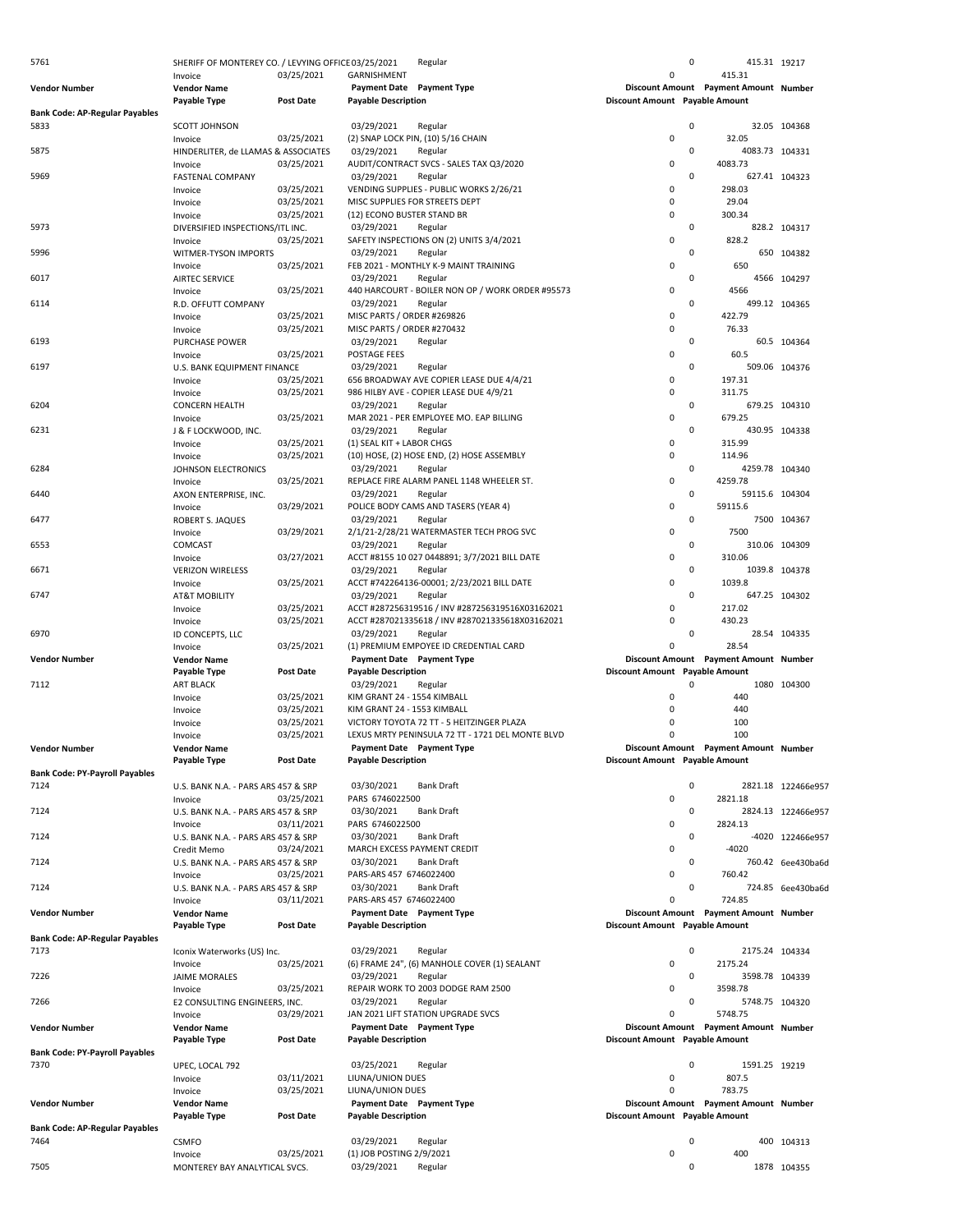| 5761                                          | SHERIFF OF MONTEREY CO. / LEVYING OFFICE 03/25/2021 |                          |                                           | Regular                                                         |                                | $\mathsf 0$ | 415.31 19217                                     |                    |
|-----------------------------------------------|-----------------------------------------------------|--------------------------|-------------------------------------------|-----------------------------------------------------------------|--------------------------------|-------------|--------------------------------------------------|--------------------|
| <b>Vendor Number</b>                          | Invoice<br><b>Vendor Name</b>                       | 03/25/2021               | GARNISHMENT<br><b>Payment Date</b>        | <b>Payment Type</b>                                             | 0                              |             | 415.31<br>Discount Amount Payment Amount Number  |                    |
|                                               | Payable Type                                        | <b>Post Date</b>         | <b>Payable Description</b>                |                                                                 | Discount Amount Payable Amount |             |                                                  |                    |
| <b>Bank Code: AP-Regular Payables</b>         |                                                     |                          |                                           |                                                                 |                                |             |                                                  |                    |
| 5833                                          | <b>SCOTT JOHNSON</b><br>Invoice                     | 03/25/2021               | 03/29/2021                                | Regular<br>(2) SNAP LOCK PIN, (10) 5/16 CHAIN                   | 0                              | $\Omega$    | 32.05                                            | 32.05 104368       |
| 5875                                          | HINDERLITER, de LLAMAS & ASSOCIATES                 |                          | 03/29/2021                                | Regular                                                         |                                | 0           | 4083.73 104331                                   |                    |
|                                               | Invoice                                             | 03/25/2021               |                                           | AUDIT/CONTRACT SVCS - SALES TAX Q3/2020                         | 0                              |             | 4083.73                                          |                    |
| 5969                                          | <b>FASTENAL COMPANY</b>                             | 03/25/2021               | 03/29/2021                                | Regular<br>VENDING SUPPLIES - PUBLIC WORKS 2/26/21              | 0                              | $\mathbf 0$ | 298.03                                           | 627.41 104323      |
|                                               | Invoice<br>Invoice                                  | 03/25/2021               |                                           | MISC SUPPLIES FOR STREETS DEPT                                  | 0                              |             | 29.04                                            |                    |
|                                               | Invoice                                             | 03/25/2021               | (12) ECONO BUSTER STAND BR                |                                                                 | $\Omega$                       |             | 300.34                                           |                    |
| 5973                                          | DIVERSIFIED INSPECTIONS/ITL INC.                    |                          | 03/29/2021                                | Regular                                                         | 0                              | $\mathbf 0$ |                                                  | 828.2 104317       |
| 5996                                          | Invoice<br>WITMER-TYSON IMPORTS                     | 03/25/2021               | 03/29/2021                                | SAFETY INSPECTIONS ON (2) UNITS 3/4/2021<br>Regular             |                                | $\mathbf 0$ | 828.2                                            | 650 104382         |
|                                               | Invoice                                             | 03/25/2021               |                                           | FEB 2021 - MONTHLY K-9 MAINT TRAINING                           | 0                              |             | 650                                              |                    |
| 6017                                          | AIRTEC SERVICE                                      |                          | 03/29/2021                                | Regular                                                         |                                | $\mathbf 0$ |                                                  | 4566 104297        |
| 6114                                          | Invoice<br>R.D. OFFUTT COMPANY                      | 03/25/2021               | 03/29/2021                                | 440 HARCOURT - BOILER NON OP / WORK ORDER #95573<br>Regular     | $\pmb{0}$                      | $\mathbf 0$ | 4566                                             | 499.12 104365      |
|                                               | Invoice                                             | 03/25/2021               | MISC PARTS / ORDER #269826                |                                                                 | 0                              |             | 422.79                                           |                    |
|                                               | Invoice                                             | 03/25/2021               | MISC PARTS / ORDER #270432                |                                                                 | $\Omega$                       |             | 76.33                                            |                    |
| 6193                                          | <b>PURCHASE POWER</b>                               |                          | 03/29/2021                                | Regular                                                         |                                | $\mathbf 0$ |                                                  | 60.5 104364        |
| 6197                                          | Invoice<br>U.S. BANK EQUIPMENT FINANCE              | 03/25/2021               | POSTAGE FEES<br>03/29/2021                | Regular                                                         | 0                              | $\mathbf 0$ | 60.5                                             | 509.06 104376      |
|                                               | Invoice                                             | 03/25/2021               |                                           | 656 BROADWAY AVE COPIER LEASE DUE 4/4/21                        | 0                              |             | 197.31                                           |                    |
|                                               | Invoice                                             | 03/25/2021               |                                           | 986 HILBY AVE - COPIER LEASE DUE 4/9/21                         | $\Omega$                       |             | 311.75                                           |                    |
| 6204                                          | <b>CONCERN HEALTH</b>                               |                          | 03/29/2021                                | Regular                                                         |                                | $\mathbf 0$ |                                                  | 679.25 104310      |
| 6231                                          | Invoice<br>J & F LOCKWOOD, INC.                     | 03/25/2021               | 03/29/2021                                | MAR 2021 - PER EMPLOYEE MO. EAP BILLING<br>Regular              | 0                              | $\mathbf 0$ | 679.25                                           | 430.95 104338      |
|                                               | Invoice                                             | 03/25/2021               | (1) SEAL KIT + LABOR CHGS                 |                                                                 | 0                              |             | 315.99                                           |                    |
|                                               | Invoice                                             | 03/25/2021               |                                           | (10) HOSE, (2) HOSE END, (2) HOSE ASSEMBLY                      | $\Omega$                       |             | 114.96                                           |                    |
| 6284                                          | JOHNSON ELECTRONICS                                 |                          | 03/29/2021                                | Regular                                                         |                                | 0           | 4259.78 104340                                   |                    |
|                                               | Invoice                                             | 03/25/2021               | 03/29/2021                                | REPLACE FIRE ALARM PANEL 1148 WHEELER ST.                       | 0                              | $\mathsf 0$ | 4259.78                                          |                    |
| 6440                                          | AXON ENTERPRISE, INC.<br>Invoice                    | 03/29/2021               |                                           | Regular<br>POLICE BODY CAMS AND TASERS (YEAR 4)                 | 0                              |             | 59115.6 104304<br>59115.6                        |                    |
| 6477                                          | ROBERT S. JAQUES                                    |                          | 03/29/2021                                | Regular                                                         |                                | $\mathbf 0$ |                                                  | 7500 104367        |
|                                               | Invoice                                             | 03/29/2021               |                                           | 2/1/21-2/28/21 WATERMASTER TECH PROG SVC                        | 0                              |             | 7500                                             |                    |
| 6553                                          | COMCAST                                             |                          | 03/29/2021                                | Regular                                                         |                                | 0           |                                                  | 310.06 104309      |
| 6671                                          | Invoice<br><b>VERIZON WIRELESS</b>                  | 03/27/2021               | 03/29/2021                                | ACCT #8155 10 027 0448891; 3/7/2021 BILL DATE<br>Regular        | 0                              | $\mathbf 0$ | 310.06                                           | 1039.8 104378      |
|                                               | Invoice                                             | 03/25/2021               |                                           | ACCT #742264136-00001; 2/23/2021 BILL DATE                      | 0                              |             | 1039.8                                           |                    |
| 6747                                          | AT&T MOBILITY                                       |                          | 03/29/2021                                | Regular                                                         |                                | $\mathbf 0$ |                                                  | 647.25 104302      |
|                                               | Invoice                                             | 03/25/2021               |                                           | ACCT #287256319516 / INV #287256319516X03162021                 | 0                              |             | 217.02                                           |                    |
| 6970                                          | Invoice<br>ID CONCEPTS, LLC                         | 03/25/2021               | 03/29/2021                                | ACCT #287021335618 / INV #287021335618X03162021<br>Regular      | 0                              | $\mathsf 0$ | 430.23                                           | 28.54 104335       |
|                                               | Invoice                                             | 03/25/2021               |                                           | (1) PREMIUM EMPOYEE ID CREDENTIAL CARD                          | 0                              |             | 28.54                                            |                    |
| <b>Vendor Number</b>                          | <b>Vendor Name</b>                                  |                          |                                           | Payment Date Payment Type                                       |                                |             | Discount Amount Payment Amount Number            |                    |
|                                               | Payable Type                                        | <b>Post Date</b>         | <b>Payable Description</b>                |                                                                 | Discount Amount Payable Amount |             |                                                  |                    |
| 7112                                          | <b>ART BLACK</b><br>Invoice                         | 03/25/2021               | 03/29/2021<br>KIM GRANT 24 - 1554 KIMBALL | Regular                                                         | 0                              | $\mathbf 0$ | 440                                              | 1080 104300        |
|                                               | Invoice                                             | 03/25/2021               | KIM GRANT 24 - 1553 KIMBALL               |                                                                 | $\Omega$                       |             | 440                                              |                    |
|                                               | Invoice                                             | 03/25/2021               |                                           | VICTORY TOYOTA 72 TT - 5 HEITZINGER PLAZA                       | $\Omega$                       |             | 100                                              |                    |
|                                               | Invoice                                             | 03/25/2021               |                                           | LEXUS MRTY PENINSULA 72 TT - 1721 DEL MONTE BLVD                |                                |             | 100                                              |                    |
| <b>Vendor Number</b>                          | <b>Vendor Name</b><br>Payable Type                  | <b>Post Date</b>         | <b>Payable Description</b>                | Payment Date Payment Type                                       | Discount Amount Payable Amount |             | Discount Amount Payment Amount Number            |                    |
| <b>Bank Code: PY-Payroll Payables</b>         |                                                     |                          |                                           |                                                                 |                                |             |                                                  |                    |
| 7124                                          | U.S. BANK N.A. - PARS ARS 457 & SRP                 |                          | 03/30/2021                                | <b>Bank Draft</b>                                               |                                | $\mathbf 0$ |                                                  | 2821.18 122466e957 |
|                                               | Invoice                                             | 03/25/2021               | PARS 6746022500                           |                                                                 | 0                              |             | 2821.18                                          |                    |
| 7124                                          | U.S. BANK N.A. - PARS ARS 457 & SRP<br>Invoice      | 03/11/2021               | 03/30/2021<br>PARS 6746022500             | <b>Bank Draft</b>                                               | 0                              | $\mathsf 0$ | 2824.13                                          | 2824.13 122466e957 |
| 7124                                          | U.S. BANK N.A. - PARS ARS 457 & SRP                 |                          | 03/30/2021                                | <b>Bank Draft</b>                                               |                                | $\mathsf 0$ |                                                  | -4020 122466e957   |
|                                               | Credit Memo                                         | 03/24/2021               |                                           | MARCH EXCESS PAYMENT CREDIT                                     | 0                              |             | $-4020$                                          |                    |
| 7124                                          | U.S. BANK N.A. - PARS ARS 457 & SRP                 |                          | 03/30/2021                                | <b>Bank Draft</b>                                               |                                | $\mathbf 0$ |                                                  | 760.42 6ee430ba6d  |
| 7124                                          | Invoice<br>U.S. BANK N.A. - PARS ARS 457 & SRP      | 03/25/2021               | PARS-ARS 457 6746022400<br>03/30/2021     | <b>Bank Draft</b>                                               | 0                              | $\mathbf 0$ | 760.42                                           | 724.85 6ee430ba6d  |
|                                               | Invoice                                             | 03/11/2021               | PARS-ARS 457 6746022400                   |                                                                 | 0                              |             | 724.85                                           |                    |
| <b>Vendor Number</b>                          | <b>Vendor Name</b>                                  |                          |                                           | Payment Date Payment Type                                       |                                |             | Discount Amount Payment Amount Number            |                    |
|                                               | Payable Type                                        | Post Date                | <b>Payable Description</b>                |                                                                 | Discount Amount Payable Amount |             |                                                  |                    |
| <b>Bank Code: AP-Regular Payables</b><br>7173 |                                                     |                          | 03/29/2021                                | Regular                                                         |                                | 0           | 2175.24 104334                                   |                    |
|                                               | Iconix Waterworks (US) Inc.<br>Invoice              | 03/25/2021               |                                           | (6) FRAME 24", (6) MANHOLE COVER (1) SEALANT                    | 0                              |             | 2175.24                                          |                    |
| 7226                                          | JAIME MORALES                                       |                          | 03/29/2021                                | Regular                                                         |                                | $\mathbf 0$ | 3598.78 104339                                   |                    |
|                                               | Invoice                                             | 03/25/2021               |                                           | REPAIR WORK TO 2003 DODGE RAM 2500                              | 0                              |             | 3598.78                                          |                    |
| 7266                                          | E2 CONSULTING ENGINEERS, INC.                       |                          | 03/29/2021                                | Regular                                                         |                                | $\mathbf 0$ | 5748.75 104320                                   |                    |
| <b>Vendor Number</b>                          | Invoice<br><b>Vendor Name</b>                       | 03/29/2021               |                                           | JAN 2021 LIFT STATION UPGRADE SVCS<br>Payment Date Payment Type | 0                              |             | 5748.75<br>Discount Amount Payment Amount Number |                    |
|                                               | Payable Type                                        | <b>Post Date</b>         | <b>Payable Description</b>                |                                                                 | Discount Amount Payable Amount |             |                                                  |                    |
| <b>Bank Code: PY-Payroll Payables</b>         |                                                     |                          |                                           |                                                                 |                                |             |                                                  |                    |
| 7370                                          | UPEC, LOCAL 792                                     |                          | 03/25/2021                                | Regular                                                         | 0                              | $\mathbf 0$ | 1591.25 19219<br>807.5                           |                    |
|                                               | Invoice<br>Invoice                                  | 03/11/2021<br>03/25/2021 | LIUNA/UNION DUES<br>LIUNA/UNION DUES      |                                                                 | 0                              |             | 783.75                                           |                    |
| <b>Vendor Number</b>                          | <b>Vendor Name</b>                                  |                          |                                           | Payment Date Payment Type                                       |                                |             | Discount Amount Payment Amount Number            |                    |
|                                               | Payable Type                                        | Post Date                | <b>Payable Description</b>                |                                                                 | Discount Amount Payable Amount |             |                                                  |                    |
| <b>Bank Code: AP-Regular Payables</b><br>7464 |                                                     |                          | 03/29/2021                                |                                                                 |                                | $\mathbf 0$ |                                                  | 400 104313         |
|                                               | <b>CSMFO</b><br>Invoice                             | 03/25/2021               | (1) JOB POSTING 2/9/2021                  | Regular                                                         | 0                              |             | 400                                              |                    |
| 7505                                          | MONTEREY BAY ANALYTICAL SVCS.                       |                          | 03/29/2021                                | Regular                                                         |                                | 0           |                                                  | 1878 104355        |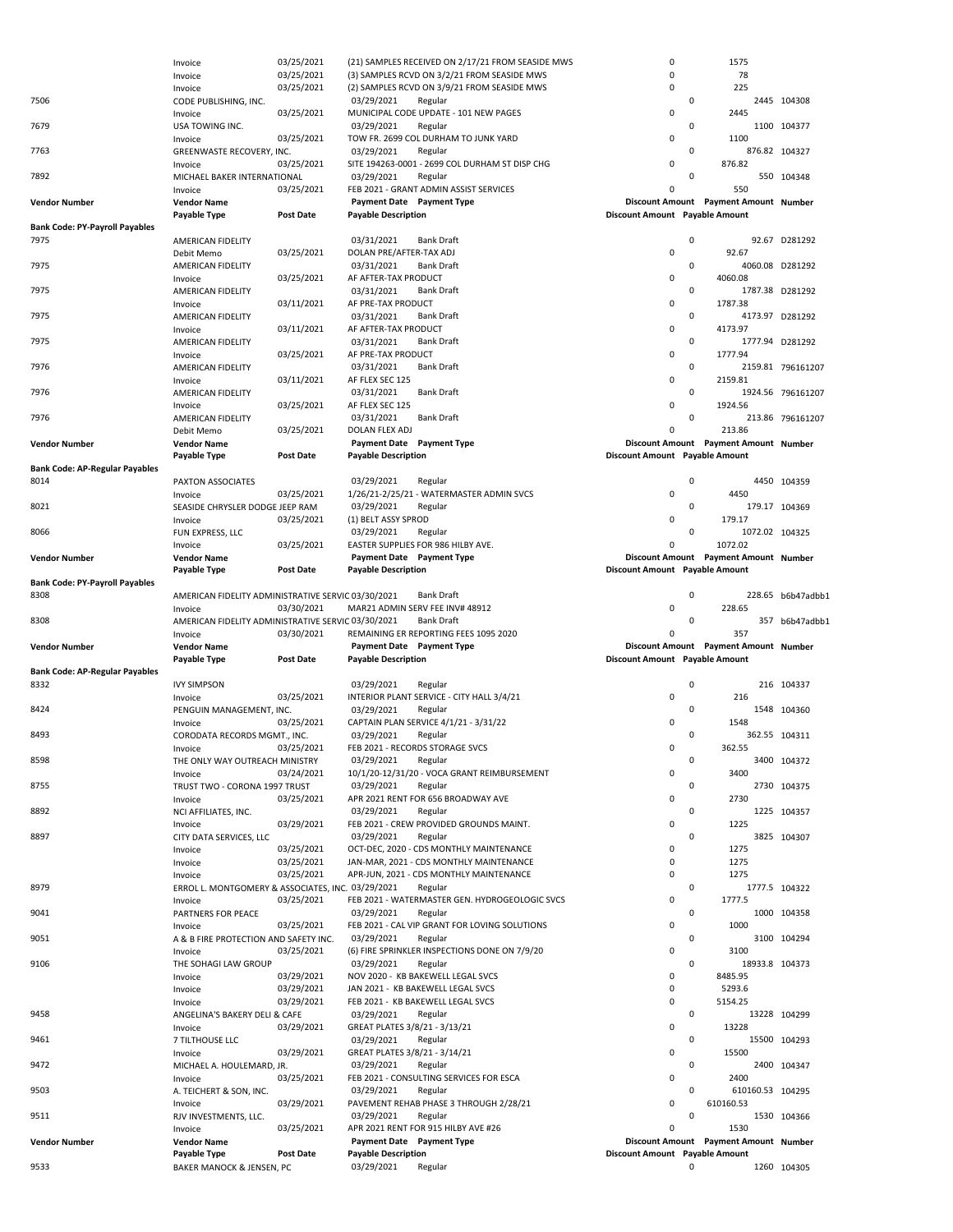|                                       | Invoice                                            | 03/25/2021               | (3) SAMPLES RCVD ON 3/2/21 FROM SEASIDE MWS                                        | 0                              | 78                                    |                   |
|---------------------------------------|----------------------------------------------------|--------------------------|------------------------------------------------------------------------------------|--------------------------------|---------------------------------------|-------------------|
|                                       | Invoice                                            | 03/25/2021               | (2) SAMPLES RCVD ON 3/9/21 FROM SEASIDE MWS                                        | 0                              | 225                                   |                   |
| 7506                                  | CODE PUBLISHING, INC.                              |                          | 03/29/2021<br>Regular                                                              |                                | $\mathsf 0$                           | 2445 104308       |
|                                       | Invoice                                            | 03/25/2021               | MUNICIPAL CODE UPDATE - 101 NEW PAGES                                              | 0                              | 2445                                  |                   |
| 7679                                  | USA TOWING INC.                                    |                          | 03/29/2021<br>Regular                                                              |                                | $\mathbf 0$                           | 1100 104377       |
|                                       | Invoice                                            | 03/25/2021               | TOW FR. 2699 COL DURHAM TO JUNK YARD                                               | 0                              | 1100                                  |                   |
| 7763                                  | GREENWASTE RECOVERY, INC.                          |                          | 03/29/2021<br>Regular                                                              |                                | $\mathbf 0$                           | 876.82 104327     |
|                                       | Invoice                                            | 03/25/2021               | SITE 194263-0001 - 2699 COL DURHAM ST DISP CHG                                     | 0                              | 876.82                                |                   |
| 7892                                  | MICHAEL BAKER INTERNATIONAL                        |                          | 03/29/2021<br>Regular                                                              |                                | $\mathbf 0$                           | 550 104348        |
|                                       | Invoice                                            | 03/25/2021               | FEB 2021 - GRANT ADMIN ASSIST SERVICES                                             | 0                              | 550                                   |                   |
| <b>Vendor Number</b>                  | <b>Vendor Name</b>                                 |                          | Payment Date Payment Type                                                          |                                | Discount Amount Payment Amount Number |                   |
|                                       | Payable Type                                       | <b>Post Date</b>         | <b>Payable Description</b>                                                         | Discount Amount Payable Amount |                                       |                   |
| <b>Bank Code: PY-Payroll Payables</b> |                                                    |                          |                                                                                    |                                |                                       |                   |
| 7975                                  | AMERICAN FIDELITY                                  |                          | 03/31/2021<br><b>Bank Draft</b>                                                    |                                | $\mathbf 0$                           | 92.67 D281292     |
|                                       | Debit Memo                                         | 03/25/2021               | DOLAN PRE/AFTER-TAX ADJ                                                            | 0                              | 92.67                                 |                   |
| 7975                                  | AMERICAN FIDELITY                                  |                          | 03/31/2021<br><b>Bank Draft</b>                                                    |                                | $\mathbf 0$                           | 4060.08 D281292   |
|                                       | Invoice                                            | 03/25/2021               | AF AFTER-TAX PRODUCT                                                               | 0                              | 4060.08                               |                   |
| 7975                                  | AMERICAN FIDELITY                                  |                          | 03/31/2021<br><b>Bank Draft</b>                                                    |                                | $\mathbf 0$                           | 1787.38 D281292   |
|                                       | Invoice                                            | 03/11/2021               | AF PRE-TAX PRODUCT                                                                 | 0                              | 1787.38                               |                   |
| 7975                                  | AMERICAN FIDELITY                                  |                          | 03/31/2021<br><b>Bank Draft</b>                                                    |                                | $\mathbf 0$                           | 4173.97 D281292   |
|                                       | Invoice                                            | 03/11/2021               | AF AFTER-TAX PRODUCT                                                               | 0                              | 4173.97                               |                   |
| 7975                                  | AMERICAN FIDELITY                                  |                          | 03/31/2021<br><b>Bank Draft</b>                                                    |                                | $\mathbf 0$                           | 1777.94 D281292   |
|                                       | Invoice                                            | 03/25/2021               | AF PRE-TAX PRODUCT                                                                 | 0                              | 1777.94                               |                   |
| 7976                                  | AMERICAN FIDELITY                                  |                          | 03/31/2021<br><b>Bank Draft</b>                                                    |                                | 0                                     | 2159.81 796161207 |
|                                       | Invoice                                            | 03/11/2021               | AF FLEX SEC 125                                                                    | 0                              | 2159.81                               |                   |
| 7976                                  | AMERICAN FIDELITY                                  |                          | 03/31/2021<br><b>Bank Draft</b>                                                    |                                | $\mathbf 0$                           | 1924.56 796161207 |
|                                       | Invoice                                            | 03/25/2021               | AF FLEX SEC 125                                                                    | 0                              | 1924.56                               |                   |
| 7976                                  | AMERICAN FIDELITY                                  |                          | 03/31/2021<br><b>Bank Draft</b>                                                    |                                | $\mathbf 0$                           | 213.86 796161207  |
|                                       | Debit Memo                                         | 03/25/2021               | DOLAN FLEX ADJ                                                                     | 0                              | 213.86                                |                   |
| <b>Vendor Number</b>                  | <b>Vendor Name</b>                                 |                          | Payment Date Payment Type                                                          |                                | Discount Amount Payment Amount Number |                   |
|                                       | Payable Type                                       | <b>Post Date</b>         | <b>Payable Description</b>                                                         | Discount Amount Payable Amount |                                       |                   |
| <b>Bank Code: AP-Regular Payables</b> |                                                    |                          |                                                                                    |                                |                                       |                   |
| 8014                                  | PAXTON ASSOCIATES                                  |                          | 03/29/2021<br>Regular                                                              |                                | 0                                     | 4450 104359       |
|                                       | Invoice                                            | 03/25/2021               | 1/26/21-2/25/21 - WATERMASTER ADMIN SVCS                                           | 0                              | 4450                                  |                   |
| 8021                                  | SEASIDE CHRYSLER DODGE JEEP RAM                    |                          | 03/29/2021<br>Regular                                                              |                                | $\mathsf 0$                           | 179.17 104369     |
|                                       | Invoice                                            | 03/25/2021               | (1) BELT ASSY SPROD                                                                | 0                              | 179.17                                |                   |
| 8066                                  | FUN EXPRESS, LLC                                   |                          | 03/29/2021<br>Regular                                                              |                                | $\mathbf 0$<br>1072.02 104325         |                   |
|                                       | Invoice                                            | 03/25/2021               | EASTER SUPPLIES FOR 986 HILBY AVE.                                                 | 0                              | 1072.02                               |                   |
| <b>Vendor Number</b>                  | <b>Vendor Name</b>                                 |                          | Payment Date Payment Type                                                          |                                | Discount Amount Payment Amount Number |                   |
|                                       | Payable Type                                       | <b>Post Date</b>         | <b>Payable Description</b>                                                         | Discount Amount Payable Amount |                                       |                   |
| <b>Bank Code: PY-Payroll Payables</b> |                                                    |                          |                                                                                    |                                |                                       |                   |
| 8308                                  | AMERICAN FIDELITY ADMINISTRATIVE SERVIC 03/30/2021 |                          | Bank Draft                                                                         |                                | $\mathsf 0$                           | 228.65 b6b47adbb1 |
|                                       | Invoice                                            | 03/30/2021               | MAR21 ADMIN SERV FEE INV# 48912                                                    | 0                              | 228.65                                |                   |
|                                       |                                                    |                          |                                                                                    |                                |                                       | 357 b6b47adbb1    |
| 8308                                  | AMERICAN FIDELITY ADMINISTRATIVE SERVIC 03/30/2021 |                          | <b>Bank Draft</b>                                                                  |                                | $\mathbf 0$                           |                   |
|                                       | Invoice                                            | 03/30/2021               | REMAINING ER REPORTING FEES 1095 2020                                              | $\Omega$                       | 357                                   |                   |
| <b>Vendor Number</b>                  | <b>Vendor Name</b>                                 |                          | Payment Date Payment Type                                                          |                                | Discount Amount Payment Amount Number |                   |
|                                       | <b>Payable Type</b>                                | <b>Post Date</b>         | <b>Payable Description</b>                                                         | Discount Amount Payable Amount |                                       |                   |
| <b>Bank Code: AP-Regular Payables</b> |                                                    |                          |                                                                                    |                                |                                       |                   |
| 8332                                  | <b>IVY SIMPSON</b>                                 |                          | 03/29/2021<br>Regular                                                              |                                | $\mathbf 0$                           | 216 104337        |
|                                       | Invoice                                            | 03/25/2021               | INTERIOR PLANT SERVICE - CITY HALL 3/4/21                                          | 0                              | 216                                   |                   |
| 8424                                  | PENGUIN MANAGEMENT, INC.                           |                          | 03/29/2021<br>Regular                                                              |                                | $\mathsf 0$                           | 1548 104360       |
|                                       | Invoice                                            | 03/25/2021               | CAPTAIN PLAN SERVICE 4/1/21 - 3/31/22                                              | 0                              | 1548                                  |                   |
| 8493                                  | CORODATA RECORDS MGMT., INC.                       |                          | 03/29/2021<br>Regular                                                              |                                | $\mathsf 0$                           | 362.55 104311     |
|                                       | Invoice                                            | 03/25/2021               | FEB 2021 - RECORDS STORAGE SVCS                                                    | 0                              | 362.55                                |                   |
| 8598                                  | THE ONLY WAY OUTREACH MINISTRY                     |                          | 03/29/2021<br>Regular                                                              |                                | $\mathbf 0$                           | 3400 104372       |
|                                       | Invoice                                            | 03/24/2021               | 10/1/20-12/31/20 - VOCA GRANT REIMBURSEMENT                                        | 0                              | 3400                                  |                   |
| 8755                                  | TRUST TWO - CORONA 1997 TRUST                      |                          | 03/29/2021<br>Regular                                                              |                                | $\mathbf 0$                           | 2730 104375       |
|                                       | Invoice                                            | 03/25/2021               | APR 2021 RENT FOR 656 BROADWAY AVE                                                 | 0                              | 2730                                  |                   |
| 8892                                  | NCI AFFILIATES, INC.                               |                          | 03/29/2021<br>Regular                                                              |                                | $\mathbf 0$                           | 1225 104357       |
|                                       | Invoice                                            | 03/29/2021               | FEB 2021 - CREW PROVIDED GROUNDS MAINT.                                            | 0                              | 1225<br>$\mathbf 0$                   |                   |
| 8897                                  | CITY DATA SERVICES, LLC                            |                          | 03/29/2021<br>Regular                                                              | 0                              |                                       | 3825 104307       |
|                                       | Invoice<br>Invoice                                 | 03/25/2021<br>03/25/2021 | OCT-DEC, 2020 - CDS MONTHLY MAINTENANCE<br>JAN-MAR, 2021 - CDS MONTHLY MAINTENANCE | 0                              | 1275<br>1275                          |                   |
|                                       |                                                    | 03/25/2021               | APR-JUN, 2021 - CDS MONTHLY MAINTENANCE                                            | 0                              | 1275                                  |                   |
| 8979                                  | Invoice                                            |                          | Regular                                                                            |                                | $\mathsf 0$                           | 1777.5 104322     |
|                                       | ERROL L. MONTGOMERY & ASSOCIATES, INC. 03/29/2021  | 03/25/2021               | FEB 2021 - WATERMASTER GEN. HYDROGEOLOGIC SVCS                                     | 0                              | 1777.5                                |                   |
| 9041                                  | Invoice<br>PARTNERS FOR PEACE                      |                          | 03/29/2021<br>Regular                                                              |                                | $\mathsf 0$                           | 1000 104358       |
|                                       | Invoice                                            | 03/25/2021               | FEB 2021 - CAL VIP GRANT FOR LOVING SOLUTIONS                                      | $\Omega$                       | 1000                                  |                   |
| 9051                                  | A & B FIRE PROTECTION AND SAFETY INC.              |                          | 03/29/2021<br>Regular                                                              |                                | $\mathbf 0$                           | 3100 104294       |
|                                       | Invoice                                            | 03/25/2021               | (6) FIRE SPRINKLER INSPECTIONS DONE ON 7/9/20                                      | 0                              | 3100                                  |                   |
| 9106                                  | THE SOHAGI LAW GROUP                               |                          | 03/29/2021<br>Regular                                                              |                                | $\mathbf 0$<br>18933.8 104373         |                   |
|                                       | Invoice                                            | 03/29/2021               | NOV 2020 - KB BAKEWELL LEGAL SVCS                                                  | 0                              | 8485.95                               |                   |
|                                       | Invoice                                            | 03/29/2021               | JAN 2021 - KB BAKEWELL LEGAL SVCS                                                  | 0                              | 5293.6                                |                   |
|                                       | Invoice                                            | 03/29/2021               | FEB 2021 - KB BAKEWELL LEGAL SVCS                                                  | 0                              | 5154.25                               |                   |
| 9458                                  | ANGELINA'S BAKERY DELI & CAFE                      |                          | 03/29/2021<br>Regular                                                              |                                | $\mathbf 0$                           | 13228 104299      |
|                                       | Invoice                                            | 03/29/2021               | GREAT PLATES 3/8/21 - 3/13/21                                                      | 0                              | 13228                                 |                   |
| 9461                                  | 7 TILTHOUSE LLC                                    |                          | 03/29/2021<br>Regular                                                              |                                | 0                                     | 15500 104293      |
|                                       | Invoice                                            | 03/29/2021               | GREAT PLATES 3/8/21 - 3/14/21                                                      | 0                              | 15500                                 |                   |
| 9472                                  | MICHAEL A. HOULEMARD, JR.                          |                          | 03/29/2021<br>Regular                                                              |                                | $\mathbf 0$                           | 2400 104347       |
|                                       | Invoice                                            | 03/25/2021               | FEB 2021 - CONSULTING SERVICES FOR ESCA                                            | 0                              | 2400                                  |                   |
| 9503                                  | A. TEICHERT & SON, INC.                            |                          | 03/29/2021<br>Regular                                                              |                                | $\mathsf 0$<br>610160.53 104295       |                   |
|                                       | Invoice                                            | 03/29/2021               | PAVEMENT REHAB PHASE 3 THROUGH 2/28/21                                             | 0                              | 610160.53                             |                   |
| 9511                                  | RJV INVESTMENTS, LLC.                              |                          | 03/29/2021<br>Regular                                                              |                                | $\mathbf 0$                           | 1530 104366       |
|                                       | Invoice                                            | 03/25/2021               | APR 2021 RENT FOR 915 HILBY AVE #26                                                | 0                              | 1530                                  |                   |
| <b>Vendor Number</b>                  | <b>Vendor Name</b>                                 |                          | Payment Date Payment Type                                                          |                                | Discount Amount Payment Amount Number |                   |
| 9533                                  | Payable Type<br>BAKER MANOCK & JENSEN, PC          | <b>Post Date</b>         | <b>Payable Description</b><br>03/29/2021<br>Regular                                | Discount Amount Payable Amount | $\mathbf 0$                           | 1260 104305       |

Invoice 03/25/2021 (21) SAMPLES RECEIVED ON 2/17/21 FROM SEASIDE MWS 0 1575